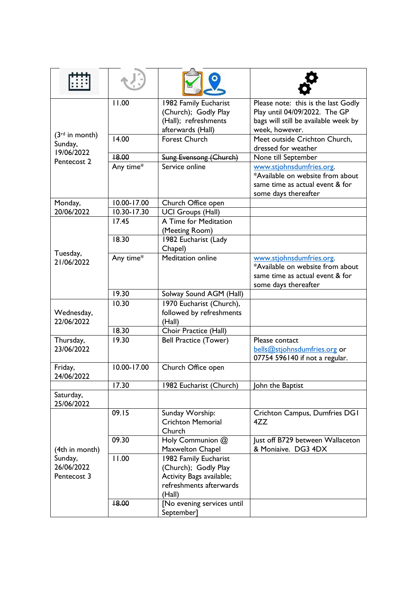| $(3rd$ in month)<br>Sunday,<br>19/06/2022<br>Pentecost 2 | 11.00           | 1982 Family Eucharist<br>(Church); Godly Play<br>(Hall); refreshments<br>afterwards (Hall)                     | Please note: this is the last Godly<br>Play until 04/09/2022. The GP<br>bags will still be available week by<br>week, however. |
|----------------------------------------------------------|-----------------|----------------------------------------------------------------------------------------------------------------|--------------------------------------------------------------------------------------------------------------------------------|
|                                                          | 14.00           | <b>Forest Church</b>                                                                                           | Meet outside Crichton Church,<br>dressed for weather                                                                           |
|                                                          | +8.00           | <b>Sung Evensong (Church)</b>                                                                                  | None till September                                                                                                            |
|                                                          | Any time*       | Service online                                                                                                 | www.stjohnsdumfries.org.<br>*Available on website from about<br>same time as actual event & for<br>some days thereafter        |
| Monday,                                                  | 10.00-17.00     | Church Office open                                                                                             |                                                                                                                                |
| 20/06/2022                                               | $10.30 - 17.30$ | <b>UCI Groups (Hall)</b>                                                                                       |                                                                                                                                |
| Tuesday,<br>21/06/2022                                   | 17.45           | A Time for Meditation<br>(Meeting Room)                                                                        |                                                                                                                                |
|                                                          | 18.30           | 1982 Eucharist (Lady<br>Chapel)                                                                                |                                                                                                                                |
|                                                          | Any time*       | <b>Meditation online</b>                                                                                       | www.stjohnsdumfries.org.<br>*Available on website from about<br>same time as actual event & for<br>some days thereafter        |
|                                                          | 19.30           | Solway Sound AGM (Hall)                                                                                        |                                                                                                                                |
| Wednesday,<br>22/06/2022                                 | 10.30           | 1970 Eucharist (Church),<br>followed by refreshments<br>(Hall)                                                 |                                                                                                                                |
|                                                          | 18.30           | Choir Practice (Hall)                                                                                          |                                                                                                                                |
| Thursday,<br>23/06/2022                                  | 19.30           | <b>Bell Practice (Tower)</b>                                                                                   | Please contact<br>bells@stjohnsdumfries.org or<br>07754 596140 if not a regular.                                               |
| Friday,<br>24/06/2022                                    | 10.00-17.00     | Church Office open                                                                                             |                                                                                                                                |
|                                                          | 17.30           | 1982 Eucharist (Church)                                                                                        | ohn the Baptist                                                                                                                |
| Saturday,<br>25/06/2022                                  |                 |                                                                                                                |                                                                                                                                |
| (4th in month)<br>Sunday,<br>26/06/2022<br>Pentecost 3   | 09.15           | Sunday Worship:<br><b>Crichton Memorial</b><br>Church                                                          | Crichton Campus, Dumfries DGI<br>4ZZ                                                                                           |
|                                                          | 09.30           | Holy Communion @<br>Maxwelton Chapel                                                                           | Just off B729 between Wallaceton<br>& Moniaive. DG3 4DX                                                                        |
|                                                          | 11.00           | 1982 Family Eucharist<br>(Church); Godly Play<br>Activity Bags available;<br>refreshments afterwards<br>(Hall) |                                                                                                                                |
|                                                          | 18.00           | [No evening services until<br>September]                                                                       |                                                                                                                                |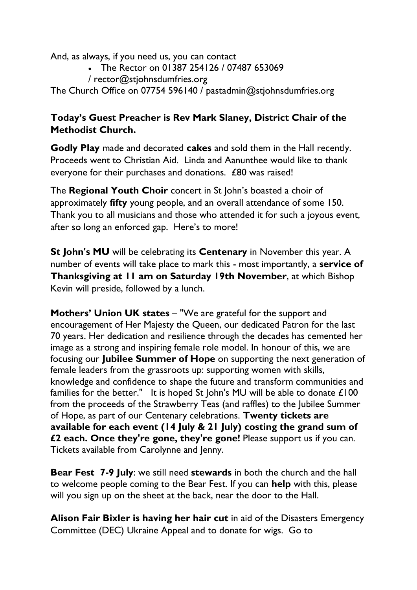And, as always, if you need us, you can contact

- The Rector on 01387 254126 / 07487 653069
- / [rector@stjohnsdumfries.org](mailto:rector@stjohnsdumfries.org)

The Church Office on 07754 596140 / [pastadmin@stjohnsdumfries.org](mailto:pastadmin@stjohnsdumfries.org)

## **Today's Guest Preacher is Rev Mark Slaney, District Chair of the Methodist Church.**

**Godly Play** made and decorated **cakes** and sold them in the Hall recently. Proceeds went to Christian Aid. Linda and Aanunthee would like to thank everyone for their purchases and donations. £80 was raised!

The **Regional Youth Choir** concert in St John's boasted a choir of approximately **fifty** young people, and an overall attendance of some 150. Thank you to all musicians and those who attended it for such a joyous event, after so long an enforced gap. Here's to more!

**St John's MU** will be celebrating its **Centenary** in November this year. A number of events will take place to mark this - most importantly, a **service of Thanksgiving at 11 am on Saturday 19th November**, at which Bishop Kevin will preside, followed by a lunch.

**Mothers' Union UK states** – "We are grateful for the support and encouragement of Her Majesty the Queen, our dedicated Patron for the last 70 years. Her dedication and resilience through the decades has cemented her image as a strong and inspiring female role model. In honour of this, we are focusing our **Jubilee Summer of Hope** on supporting the next generation of female leaders from the grassroots up: supporting women with skills, knowledge and confidence to shape the future and transform communities and families for the better." It is hoped St John's MU will be able to donate £100 from the proceeds of the Strawberry Teas (and raffles) to the Jubilee Summer of Hope, as part of our Centenary celebrations. **Twenty tickets are available for each event (14 July & 21 July) costing the grand sum of £2 each. Once they're gone, they're gone!** Please support us if you can. Tickets available from Carolynne and Jenny.

**Bear Fest 7-9 July**: we still need **stewards** in both the church and the hall to welcome people coming to the Bear Fest. If you can **help** with this, please will you sign up on the sheet at the back, near the door to the Hall.

**Alison Fair Bixler is having her hair cut** in aid of the Disasters Emergency Committee (DEC) Ukraine Appeal and to donate for wigs. Go to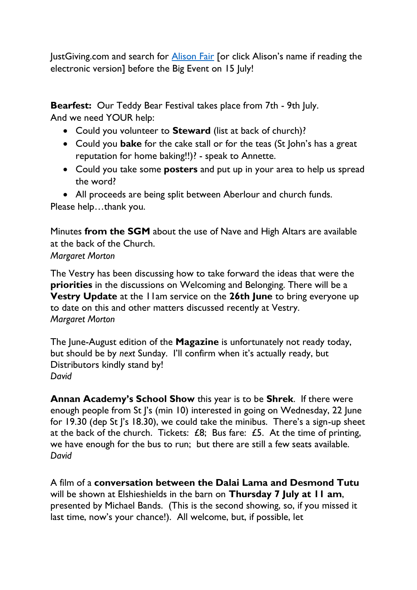JustGiving.com and search for **Alison Fair** [or click Alison's name if reading the electronic version] before the Big Event on 15 July!

**Bearfest:** Our Teddy Bear Festival takes place from 7th - 9th July. And we need YOUR help:

- Could you volunteer to **Steward** (list at back of church)?
- Could you **bake** for the cake stall or for the teas (St John's has a great reputation for home baking!!)? - speak to Annette.
- Could you take some **posters** and put up in your area to help us spread the word?
- All proceeds are being split between Aberlour and church funds.

Please help...thank you.

Minutes **from the SGM** about the use of Nave and High Altars are available at the back of the Church. *Margaret Morton*

The Vestry has been discussing how to take forward the ideas that were the **priorities** in the discussions on Welcoming and Belonging. There will be a **Vestry Update** at the 11am service on the **26th June** to bring everyone up to date on this and other matters discussed recently at Vestry. *Margaret Morton*

The June-August edition of the **Magazine** is unfortunately not ready today, but should be by *next* Sunday. I'll confirm when it's actually ready, but Distributors kindly stand by! *David*

**Annan Academy's School Show** this year is to be **Shrek**. If there were enough people from St |'s (min 10) interested in going on Wednesday, 22 June for 19.30 (dep St J's 18.30), we could take the minibus. There's a sign-up sheet at the back of the church. Tickets: £8; Bus fare: £5. At the time of printing, we have enough for the bus to run; but there are still a few seats available. *David*

A film of a **conversation between the Dalai Lama and Desmond Tutu** will be shown at Elshieshields in the barn on **Thursday 7 July at 11 am**, presented by Michael Bands. (This is the second showing, so, if you missed it last time, now's your chance!). All welcome, but, if possible, let